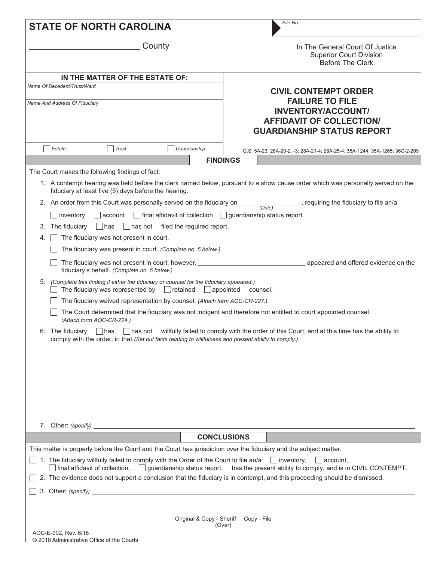|    | <b>STATE OF NORTH CAROLINA</b>                                                                                                                                   |                                                                                                       | File No.                                                                                                                                                                                                                                                                                                                                                                              |  |  |  |  |  |
|----|------------------------------------------------------------------------------------------------------------------------------------------------------------------|-------------------------------------------------------------------------------------------------------|---------------------------------------------------------------------------------------------------------------------------------------------------------------------------------------------------------------------------------------------------------------------------------------------------------------------------------------------------------------------------------------|--|--|--|--|--|
|    |                                                                                                                                                                  | County                                                                                                | In The General Court Of Justice<br><b>Superior Court Division</b><br><b>Before The Clerk</b>                                                                                                                                                                                                                                                                                          |  |  |  |  |  |
|    | IN THE MATTER OF THE ESTATE OF:                                                                                                                                  |                                                                                                       |                                                                                                                                                                                                                                                                                                                                                                                       |  |  |  |  |  |
|    | Name Of Decedent/Trust/Ward                                                                                                                                      |                                                                                                       | <b>CIVIL CONTEMPT ORDER</b>                                                                                                                                                                                                                                                                                                                                                           |  |  |  |  |  |
|    | Name And Address Of Fiduciary                                                                                                                                    |                                                                                                       | <b>FAILURE TO FILE</b><br><b>INVENTORY/ACCOUNT/</b><br><b>AFFIDAVIT OF COLLECTION/</b><br><b>GUARDIANSHIP STATUS REPORT</b>                                                                                                                                                                                                                                                           |  |  |  |  |  |
|    | Estate<br>  Trust                                                                                                                                                | Guardianship                                                                                          | G.S. 5A-23; 28A-20-2, -3; 28A-21-4; 28A-25-4; 35A-1244; 35A-1265; 36C-2-209                                                                                                                                                                                                                                                                                                           |  |  |  |  |  |
|    |                                                                                                                                                                  |                                                                                                       | <b>FINDINGS</b>                                                                                                                                                                                                                                                                                                                                                                       |  |  |  |  |  |
|    | The Court makes the following findings of fact:                                                                                                                  |                                                                                                       |                                                                                                                                                                                                                                                                                                                                                                                       |  |  |  |  |  |
|    | fiduciary at least five (5) days before the hearing.                                                                                                             |                                                                                                       | 1. A contempt hearing was held before the clerk named below, pursuant to a show cause order which was personally served on the                                                                                                                                                                                                                                                        |  |  |  |  |  |
|    |                                                                                                                                                                  | 2. An order from this Court was personally served on the fiduciary on ____                            | requiring the fiduciary to file an/a<br>(Date)                                                                                                                                                                                                                                                                                                                                        |  |  |  |  |  |
|    | inventory<br>$ $ account                                                                                                                                         | $\Box$ final affidavit of collection $\Box$ guardianship status report.                               |                                                                                                                                                                                                                                                                                                                                                                                       |  |  |  |  |  |
| 3. | The fiduciary<br>$\vert$   has                                                                                                                                   | $\Box$ has not filed the required report.                                                             |                                                                                                                                                                                                                                                                                                                                                                                       |  |  |  |  |  |
| 4. | The fiduciary was not present in court.                                                                                                                          |                                                                                                       |                                                                                                                                                                                                                                                                                                                                                                                       |  |  |  |  |  |
|    |                                                                                                                                                                  | The fiduciary was present in court. (Complete no. 5 below.)                                           |                                                                                                                                                                                                                                                                                                                                                                                       |  |  |  |  |  |
|    |                                                                                                                                                                  |                                                                                                       |                                                                                                                                                                                                                                                                                                                                                                                       |  |  |  |  |  |
|    | fiduciary's behalf. (Complete no. 5 below.)                                                                                                                      |                                                                                                       |                                                                                                                                                                                                                                                                                                                                                                                       |  |  |  |  |  |
| 5. | (Complete this finding if either the fiduciary or counsel for the fiduciary appeared.)<br>The fiduciary was represented by $\ $ retained<br>  appointed counsel. |                                                                                                       |                                                                                                                                                                                                                                                                                                                                                                                       |  |  |  |  |  |
|    |                                                                                                                                                                  | The fiduciary waived representation by counsel. (Attach form AOC-CR-227.)                             |                                                                                                                                                                                                                                                                                                                                                                                       |  |  |  |  |  |
|    | (Attach form AOC-CR-224.)                                                                                                                                        |                                                                                                       | The Court determined that the fiduciary was not indigent and therefore not entitled to court appointed counsel.                                                                                                                                                                                                                                                                       |  |  |  |  |  |
|    |                                                                                                                                                                  | comply with the order, in that (Set out facts relating to willfulness and present ability to comply.) | The fiduciary has has has not willfully failed to comply with the order of this Court, and at this time has the ability to                                                                                                                                                                                                                                                            |  |  |  |  |  |
|    |                                                                                                                                                                  |                                                                                                       |                                                                                                                                                                                                                                                                                                                                                                                       |  |  |  |  |  |
|    |                                                                                                                                                                  |                                                                                                       |                                                                                                                                                                                                                                                                                                                                                                                       |  |  |  |  |  |
|    |                                                                                                                                                                  |                                                                                                       | <b>CONCLUSIONS</b>                                                                                                                                                                                                                                                                                                                                                                    |  |  |  |  |  |
|    |                                                                                                                                                                  |                                                                                                       | This matter is properly before the Court and the Court has jurisdiction over the fiduciary and the subject matter.<br>1. The fiduciary willfully failed to comply with the Order of the Court to file an/a $\Box$ inventory, $\Box$ account,<br>$\Box$ final affidavit of collection, $\Box$ guardianship status report, has the present ability to comply, and is in CIVIL CONTEMPT. |  |  |  |  |  |
|    |                                                                                                                                                                  |                                                                                                       | 2. The evidence does not support a conclusion that the fiduciary is in contempt, and this proceeding should be dismissed.                                                                                                                                                                                                                                                             |  |  |  |  |  |
|    |                                                                                                                                                                  | 3. Other: $\frac{1}{2}$ (specify)                                                                     |                                                                                                                                                                                                                                                                                                                                                                                       |  |  |  |  |  |
|    |                                                                                                                                                                  | Original & Copy - Sheriff                                                                             | Copy - File                                                                                                                                                                                                                                                                                                                                                                           |  |  |  |  |  |
|    |                                                                                                                                                                  |                                                                                                       | (Over)                                                                                                                                                                                                                                                                                                                                                                                |  |  |  |  |  |
|    | AOC-E-902, Rev. 6/18<br>© 2018 Administrative Office of the Courts                                                                                               |                                                                                                       |                                                                                                                                                                                                                                                                                                                                                                                       |  |  |  |  |  |